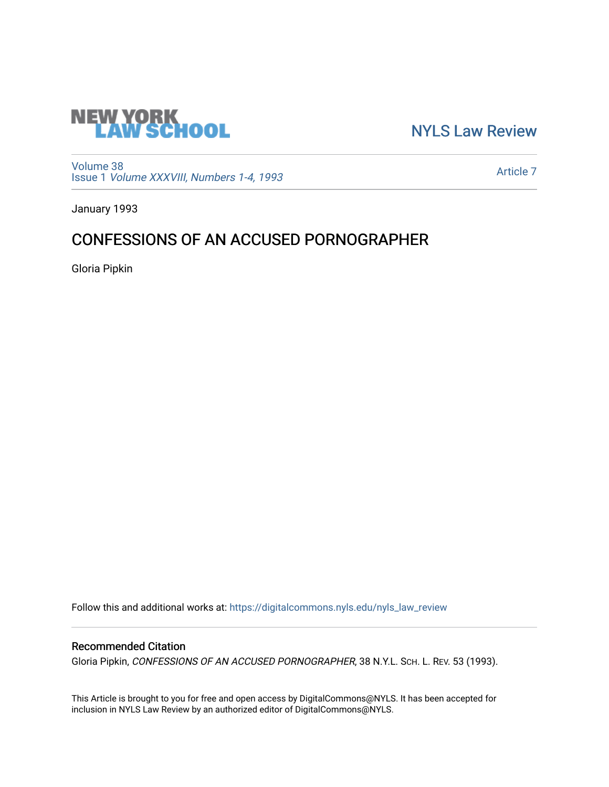

[NYLS Law Review](https://digitalcommons.nyls.edu/nyls_law_review) 

[Volume 38](https://digitalcommons.nyls.edu/nyls_law_review/vol38) Issue 1 [Volume XXXVIII, Numbers 1-4, 1993](https://digitalcommons.nyls.edu/nyls_law_review/vol38/iss1)

[Article 7](https://digitalcommons.nyls.edu/nyls_law_review/vol38/iss1/7) 

January 1993

## CONFESSIONS OF AN ACCUSED PORNOGRAPHER

Gloria Pipkin

Follow this and additional works at: [https://digitalcommons.nyls.edu/nyls\\_law\\_review](https://digitalcommons.nyls.edu/nyls_law_review?utm_source=digitalcommons.nyls.edu%2Fnyls_law_review%2Fvol38%2Fiss1%2F7&utm_medium=PDF&utm_campaign=PDFCoverPages) 

## Recommended Citation

Gloria Pipkin, CONFESSIONS OF AN ACCUSED PORNOGRAPHER, 38 N.Y.L. SCH. L. REV. 53 (1993).

This Article is brought to you for free and open access by DigitalCommons@NYLS. It has been accepted for inclusion in NYLS Law Review by an authorized editor of DigitalCommons@NYLS.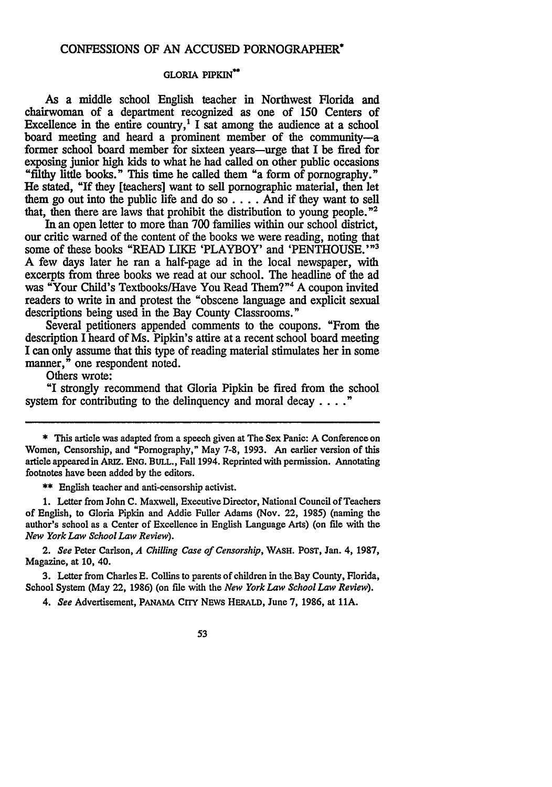## CONFESSIONS OF **AN ACCUSED** PORNOGRAPHER"

## **GLORIA PIPKIN\***

As a middle school English teacher in Northwest Florida and chairwoman of a department recognized as one of 150 Centers of Excellence in the entire country,<sup> $1$ </sup> I sat among the audience at a school board meeting and heard a prominent member of the community-a former school board member for sixteen years-urge that I be fired for exposing junior high kids to what he had called on other public occasions "filthy little books." This time he called them "a form of pornography." He stated, "If they [teachers] want to sell pornographic material, then let them go out into the public life and do so **....** And if they want to sell that, then there are laws that prohibit the distribution to young people."<sup>2</sup>

**In** an open letter to more than 700 families within our school district, our critic warned of the content of the books we were reading, noting that some of these books "READ LIKE 'PLAYBOY' and 'PENTHOUSE.'"<sup>3</sup> A few days later he ran a half-page ad in the local newspaper, with excerpts from three books we read at our school. The headline of the ad was "Your Child's Textbooks/Have You Read Them?"<sup>4</sup> A coupon invited readers to write in and protest the "obscene language and explicit sexual descriptions being used in the Bay County Classrooms."

Several petitioners appended comments to the coupons. "From the description I heard of Ms. Pipkin's attire at a recent school board meeting I can only assume that this type of reading material stimulates her in some manner," one respondent noted.

Others wrote:

"I strongly recommend that Gloria Pipkin be fired from the school system for contributing to the delinquency and moral decay . . . . "

\*\* English teacher and anti-censorship activist.

1. Letter from John C. Maxwell, Executive Director, National Council of Teachers of English, to Gloria Pipkin and Addie Fuller Adams (Nov. 22, 1985) (naming the author's school as a Center of Excellence in English Language Arts) (on file with the *New York Law School Law Review).*

**2.** *See* Peter Carlson, *A Chilling Case of Censorship,* WASH. POST, Jan. 4, 1987, Magazine, at 10, 40.

3. Letter from Charles **E.** Collins to parents of children in the Bay County, Florida, School System (May 22, 1986) (on file with the *New York Law School Law Review).*

4. *See* Advertisement, PANAMA CITY NEws HERALD, June 7, 1986, at **11A.**

<sup>\*</sup> This article was adapted from a speech given at The Sex Panic: A Conference on Women, Censorship, and "Pornography," May 7-8, 1993. An earlier version of this article appeared in ARIz. ENG. BULL., Fall 1994. Reprinted with permission. Annotating footnotes have been added by the editors.

<sup>53</sup>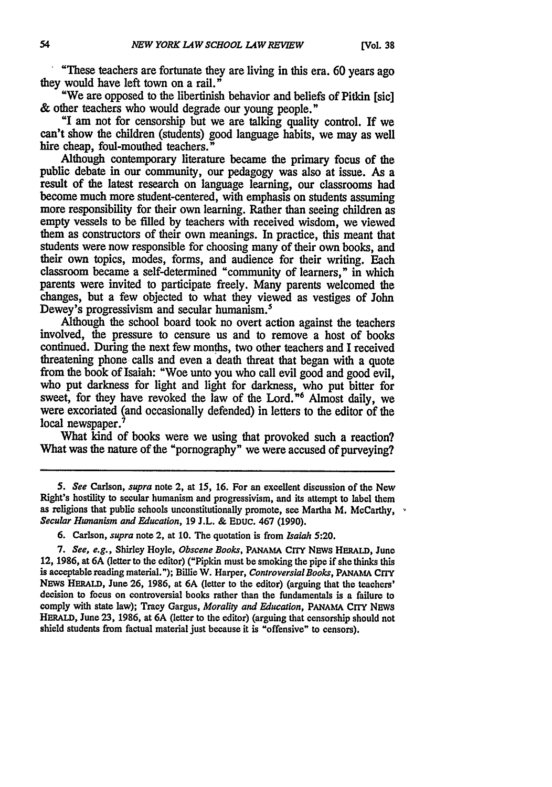"These teachers are fortunate they are living in this era. **60** years ago they would have left town on a rail."

"We are opposed to the libertinish behavior and beliefs of Pitkin [sic]  $\&$  other teachers who would degrade our voung people."

**&** other teachers who would degrade our young people." **"I** am not for censorship but we are talking quality control. If we can't show the children (students) good language habits, we may as well hire cheap, foul-mouthed teachers.

Although contemporary literature became the primary focus of the public debate in our community, our pedagogy was also at issue. As a result of the latest research on language learning, our classrooms had become much more student-centered, with emphasis on students assuming more responsibility for their own learning. Rather than seeing children as empty vessels to be filled **by** teachers with received wisdom, we viewed them as constructors of their own meanings. In practice, this meant that students were now responsible for choosing many of their own books, and their own topics, modes, forms, and audience for their writing. Each classroom became a self-determined "community of learners," in which parents were invited to participate freely. Many parents welcomed the changes, but a few objected to what they viewed as vestiges of John Dewey's progressivism and secular humanism.<sup>5</sup>

Although the school board took no overt action against the teachers involved, the pressure to censure us and to remove a host of books continued. During the next few months, two other teachers and I received threatening phone calls and even a death threat that began with a quote from the book of Isaiah: "Woe unto you who call evil good and good evil, who put darkness for light and light for darkness, who put bitter for sweet, for they have revoked the law of the Lord."6 Almost daily, we were excoriated (and occasionally defended) in letters to the editor of the local newspaper.<sup>7</sup>

What kind of books were we using that provoked such a reaction? What was the nature of the "pornography" we were accused of purveying?

6. Carlson, *supra* note 2, at 10. The quotation is from *Isaiah 5:20.*

*7. See, e.g.,* Shirley Hoyle, *Obscene Books,* **PANAMA** CrrY Naws **HERALD,** June 12, 1986, at 6A (letter to the editor) ("Pipkin must be smoking the pipe if she thinks this is acceptable reading material."); Billie W. Harper, *Controversial Books,* **PANAMA CITY** NEWS **HERALD,** June **26, 1986,** at 6A (letter to the editor) (arguing that the teachers' decision to focus on controversial books rather than the fundamentals is a failure to comply with state law); Tracy Gargus, *Morality and Education,* **PANAMA** CrrY *NEWS* **HERALD,** June **23, 1986,** at **6A** (letter to the editor) (arguing that censorship should not shield students from factual material just because it is "offensive" to censors).

*<sup>5.</sup> See* Carlson, *supra* note 2, at 15, 16. For an excellent discussion of the **New** Right's hostility to secular humanism and progressivism, and its attempt to label them as religions that public schools unconstitutionally promote, see Martha M. McCarthy, *Secular Hunanism and Education,* 19 **J.L. &** EDUc. 467 (1990).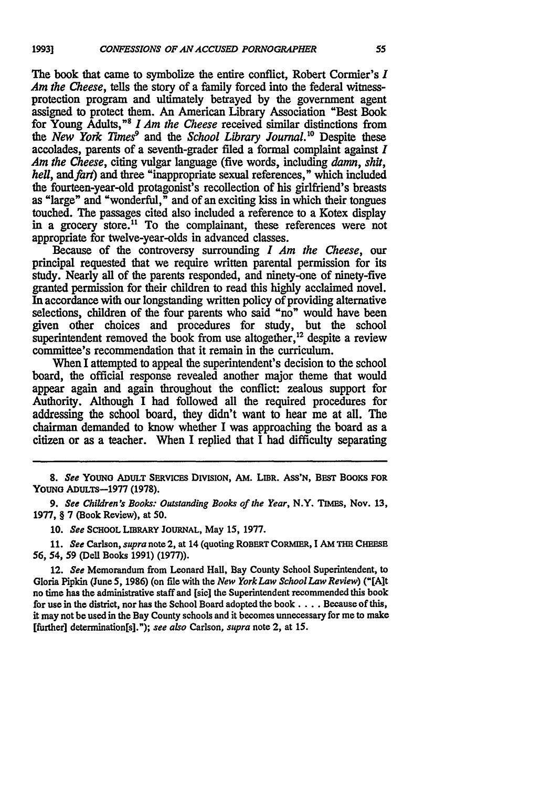The book that came to symbolize the entire conflict, Robert Cormier's *I Am the Cheese, tells the story of a family forced into the federal witness*protection program and ultimately betrayed by the government agent assigned to protect them. An American Library Association "Best Book for Young Adults,<sup>"8</sup> I Am the Cheese received similar distinctions from the *New York Times*<sup>9</sup> and the *School Library Journal*.<sup>10</sup> Despite these accolades, parents of a seventh-grader filed a formal complaint against *I Am the Cheese,* citing vulgar language (five words, including *damn, shit, hell, and fart*) and three "inappropriate sexual references," which included the fourteen-year-old protagonist's recollection of his girlfriend's breasts as "large" and "wonderful," and of an exciting kiss in which their tongues touched. The passages cited also included a reference to a Kotex display in a grocery store.<sup>11</sup> To the complainant, these references were not appropriate for twelve-year-olds in advanced classes.

Because of the controversy surrounding *I Am the Cheese,* our principal requested that we require written parental permission for its study. Nearly all of the parents responded, and ninety-one of ninety-five granted permission for their children to read this highly acclaimed novel. In accordance with our longstanding written policy of providing alternative selections, children of the four parents who said "no" would have been given other choices and procedures for study, but the school superintendent removed the book from use altogether,  $^{12}$  despite a review committee's recommendation that it remain in the curriculum.

When I attempted to appeal the superintendent's decision to the school board, the official response revealed another major theme that would appear again and again throughout the conflict: zealous support for Authority. Although I had followed all the required procedures for addressing the school board, they didn't want to hear me at all. The chairman demanded to know whether I was approaching the board as a citizen or as a teacher. When I replied that  $\overline{I}$  had difficulty separating

**<sup>8.</sup>** *See* YOUNG ADULT SERVICES **DIVISION,** AM. LIBR. **ASS'N,** BEST BOOKS **FOR YOUNG** ADULTs-1977 **(1978).**

*<sup>9.</sup> See Children's Books: Outstanding Books of the Year,* N.Y. TIMEs, Nov. **13,** 1977, § **7** (Book Review), at **50.**

**<sup>10.</sup>** *See* **SCHOOL** LIBRARY JOURNAL, May 15, 1977.

<sup>11.</sup> *See* Carson, *supra* note 2, at 14 (quoting ROBERT CORMIER, I AM THE **CHEESE** *56,* 54, 59 (Dell Books 1991) (1977)).

<sup>12.</sup> *See* Memorandum from Leonard Hall, Bay County School Superintendent, to Gloria Pipkin (June *5,* **1986)** (on file with the *New YorkLaw School Law Review) ("[Ait* no time has the administrative staff and [sic] the Superintendent recommended this book for use in the district, nor has the School Board adopted the book **....** Because of this, it may not be used in the Bay County schools and it becomes unnecessary for me to make [further] deternination[s]."); *see also* Carlson, *supra* note 2, at 15.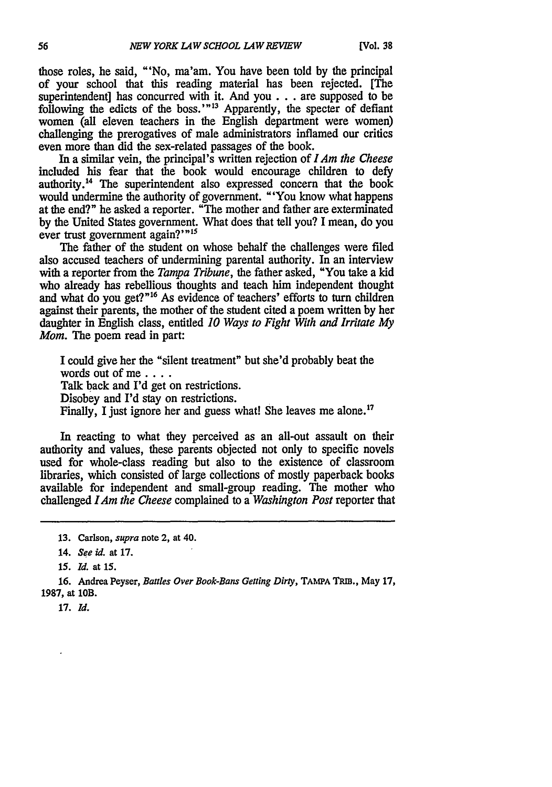those roles, he said, "'No, ma'am. You have been told **by** the principal of your school that this reading material has been rejected. [The superintendent] has concurred with it. And **you..,** are supposed to be following the edicts of the boss.' **'13** Apparently, the specter of defiant women (all eleven teachers in the English department were women) challenging the prerogatives of male administrators inflamed our critics even more than did the sex-related passages of the book.

In a similar vein, the principal's written rejection of **IAm** *the Cheese* included his fear that the book would encourage children to defy authority.<sup>14</sup> The superintendent also expressed concern that the book would undermine the authority of government. "'You know what happens at the end?" he asked a reporter. "The mother and father are exterminated **by** the United States government. What does that tell you? I mean, do you ever trust government again?"<sup>15</sup>

The father of the student on whose behalf the challenges were filed also accused teachers of undermining parental authority. In an interview with a reporter from the *Tampa Tribune,* the father asked, "You take a **kid** who already has rebellious thoughts and teach him independent thought and what do you get?"<sup>16</sup> As evidence of teachers' efforts to turn children against their parents, the mother of the student cited a poem written **by** her daughter in English class, entitled *10 Ways to Fight With and Irritate My Mom.* The poem read in part:

I could give her the "silent treatment" but she'd probably beat the words out of me .... Talk back and I'd get on restrictions. Disobey and I'd stay on restrictions. Finally, I just ignore her and guess what! She leaves me alone.<sup>17</sup>

In reacting to what they perceived as an all-out assault on their authority and values, these parents objected not only to specific novels used for whole-class reading but also to the existence of classroom libraries, which consisted of large collections of mostly paperback books available for independent and small-group reading. The mother who challenged IAm *the Cheese* complained to a *Washington Post* reporter that

17. *Id.*

<sup>13.</sup> Carlson, *supra* note 2, at 40.

<sup>14.</sup> *See id.* at **17.**

*<sup>15.</sup> Id.* at **15.**

<sup>16.</sup> Andrea Peyser, *Battles Over Book-Bans Getting Dirty*, TAMPA TRIB., May 17, 1987, at 10B.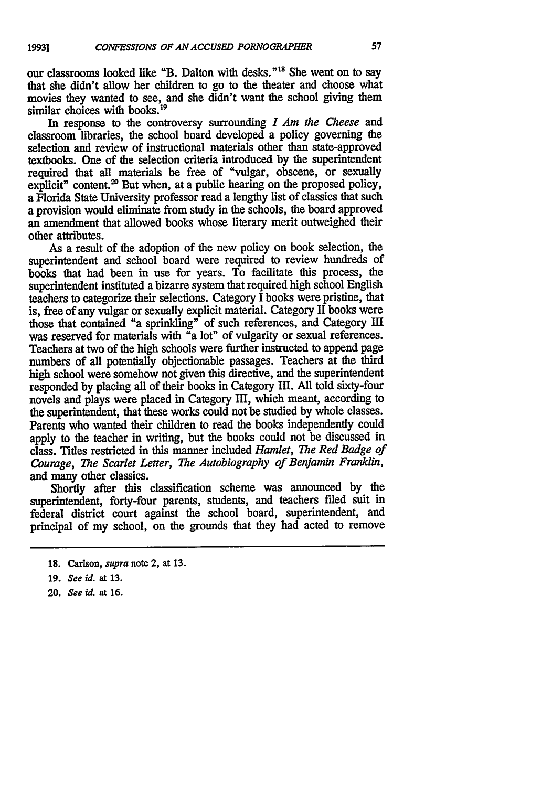our classrooms looked like "B. Dalton with desks."<sup>18</sup> She went on to say that she didn't allow her children to go to the theater and choose what movies they wanted to see, and she didn't want the school giving them similar choices with books.<sup>19</sup>

In response to the controversy surrounding *I Am the Cheese and* classroom libraries, the school board developed a policy governing the selection and review of instructional materials other than state-approved textbooks. One of the selection criteria introduced by the superintendent required that all materials be free of "vulgar, obscene, or sexually explicit" content.<sup>20</sup> But when, at a public hearing on the proposed policy, a Florida State University professor read a lengthy list of classics that such a provision would eliminate from study in the schools, the board approved an amendment that allowed books whose literary merit outweighed their other attributes.

As a result of the adoption of the new policy on book selection, the superintendent and school board were required to review hundreds of books that had been in use for years. To facilitate this process, the superintendent instituted a bizarre system that required high school English teachers to categorize their selections. Category I books were pristine, that is, free of any vulgar or sexually explicit material. Category II books were those that contained "a sprinkling" of such references, and Category **11m** was reserved for materials with "a lot" of vulgarity or sexual references. Teachers at two of the high schools were further instructed to append page numbers of all potentially objectionable passages. Teachers at the third high school were somehow not given this directive, and the superintendent responded by placing all of their books in Category III. All told sixty-four novels and plays were placed in Category III, which meant, according to the superintendent, that these works could not be studied by whole classes. Parents who wanted their children to read the books independently could apply to the teacher in writing, but the books could not be discussed in class. Titles restricted in this manner included *Hamlet, The Red Badge of Courage, The Scarlet Letter, The Autobiography of Benjamin Franklin,* and many other classics.

Shortly after this classification scheme was announced **by** the superintendent, forty-four parents, students, and teachers filed suit in federal district court against the school board, superintendent, and principal of my school, on the grounds that they had acted to remove

**20.** See **id.** at **16.**

**<sup>18.</sup>** Carlson, *supra* note 2, at **13.**

**<sup>19.</sup>** See id. at **13.**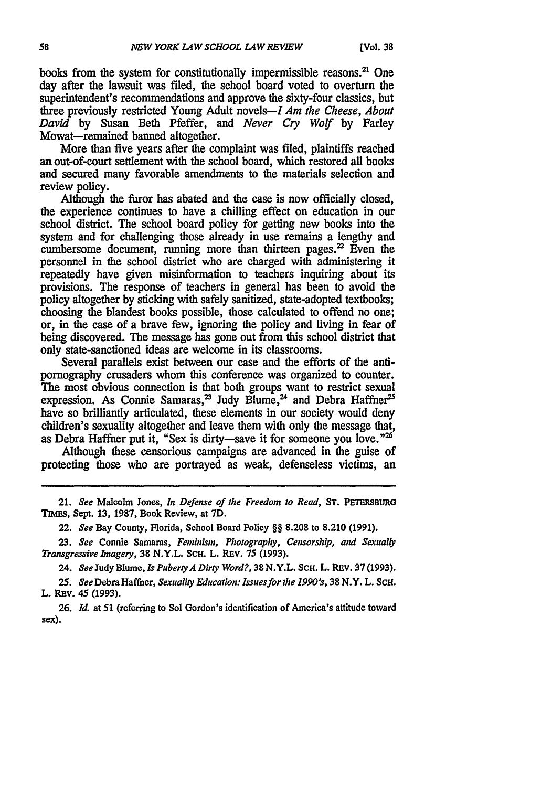books from the system for constitutionally impermissible reasons.<sup>21</sup> One day after the lawsuit was filed, the school board voted to overturn the superintendent's recommendations and approve the sixty-four classics, but three previously restricted Young Adult novels-I *Am the Cheese, About David* **by** Susan Beth Pfeffer, and *Never Cry Wolf* **by** Farley Mowat-remained banned altogether.

More than five years after the complaint was filed, plaintiffs reached an out-of-court settlement with the school board, which restored all books and secured many favorable amendments to the materials selection and review policy.

Although the furor has abated and the case is now officially closed, the experience continues to have a chilling effect on education in our school district. The school board policy for getting new books into the system and for challenging those already in use remains a lengthy and cumbersome document, running more than thirteen pages.<sup>22</sup> Even the personnel in the school district who are charged with administering it repeatedly have given misinformation to teachers inquiring about its provisions. The response of teachers in general has been to avoid the policy altogether by sticking with safely sanitized, state-adopted textbooks; choosing the blandest books possible, those calculated to offend no one; or, in the case of a brave few, ignoring the policy and living in fear of being discovered. The message has gone out from this school district that only state-sanctioned ideas are welcome in its classrooms.

Several parallels exist between our case and the efforts of the antipornography crusaders whom this conference was organized to counter. The most obvious connection is that both groups want to restrict sexual expression. As Connie Samaras,<sup>23</sup> Judy Blume,<sup>24</sup> and Debra Haffner<sup>25</sup> have so brilliantly articulated, these elements in our society would deny children's sexuality altogether and leave them with only the message that, as Debra Haffner put it, "Sex is dirty-save it for someone you love."<sup>26</sup>

Although these censorious campaigns are advanced in the guise of protecting those who are portrayed as weak, defenseless victims, an

21. *See* Malcolm Jones, *In Defense of the Freedom to Read,* **ST. PETERSBURG TIMES, Sept.** 13, 1987, Book Review, at **7D.**

22. *See* Bay County, Florida, School Board Policy §§ **8.208** to **8.210** (1991).

**23.** *See* Connie Samaras, *Feminism, Photography, Censorship, and Sexually Transgressive Imagery,* **38** N.Y.L. **SCH.** L. REv. **75 (1993).**

**24.** *See* Judy Blume, **Is** *PubertyA Dirty Word?,* **38** N.Y.L. **Sc.** L. REv. 37 (1993).

**25.** SeeDebraHaffner, *Sexuality* Education: *Issuesfor the 1990's,* **38** N.Y. L. Sc. L. REv. 45 **(1993).**

**26.** *Id.* at **51** (referring to Sol Gordon's identification of America's attitude toward sex).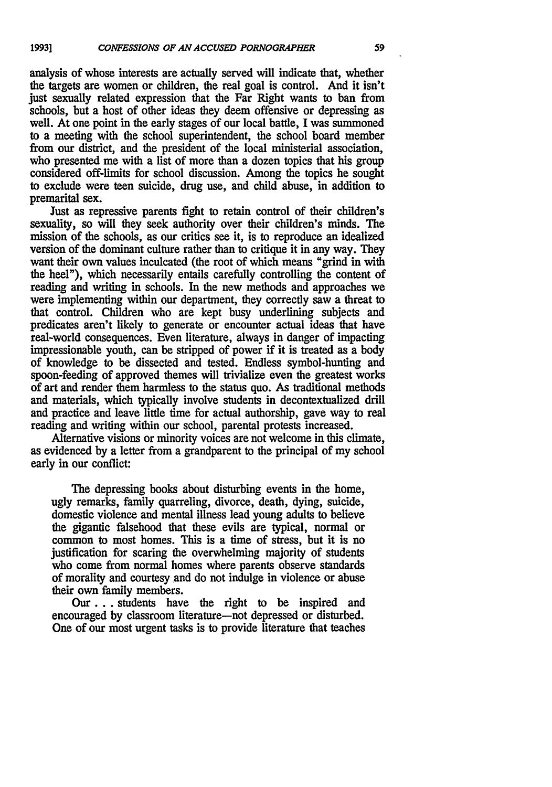analysis of whose interests are actually served will indicate that, whether the targets are women or children, the real goal is control. And it isn't just sexually related expression that the Far Right wants to ban from schools, but a host of other ideas they deem offensive or depressing as well. At one point in the early stages of our local battle, I was summoned to a meeting with the school superintendent, the school board member from our district, and the president of the local ministerial association, who presented me with a list of more than a dozen topics that his group considered off-limits for school discussion. Among the topics he sought to exclude were teen suicide, drug use, and child abuse, in addition to premarital sex.

Just as repressive parents fight to retain control of their children's sexuality, so will they seek authority over their children's minds. The mission of the schools, as our critics see it, is to reproduce an idealized version of the dominant culture rather than to critique it in any way. They want their own values inculcated (the root of which means "grind in with the heel"), which necessarily entails carefully controlling the content of reading and writing in schools. In the new methods and approaches we were implementing within our department, they correctly saw a threat to that control. Children who are kept busy underlining subjects and predicates aren't likely to generate or encounter actual ideas that have real-world consequences. Even literature, always in danger of impacting impressionable youth, can be stripped of power if it is treated as a body of knowledge to be dissected and tested. Endless symbol-hunting and spoon-feeding of approved themes will trivialize even the greatest works of art and render them harmless to the status quo. As traditional methods and materials, which typically involve students in decontextualized drill and practice and leave little time for actual authorship, gave way to real reading and writing within our school, parental protests increased.

Alternative visions or minority voices are not welcome in this climate, as evidenced **by** a letter from a grandparent **to** the principal of my school early in our conflict:

The depressing books about disturbing events in the home, ugly remarks, family quarreling, divorce, death, dying, suicide, domestic violence and mental illness lead young adults to believe the gigantic falsehood that these evils are typical, normal or common to most homes. This is a time of stress, but it is no justification for searing the overwhelming majority of students who come from normal homes where parents observe standards of morality and courtesy and do not indulge in violence or abuse their own family members.

**Our...** students have the right to be inspired and encouraged by classroom literature-not depressed or disturbed. One of our most urgent tasks is to provide literature that teaches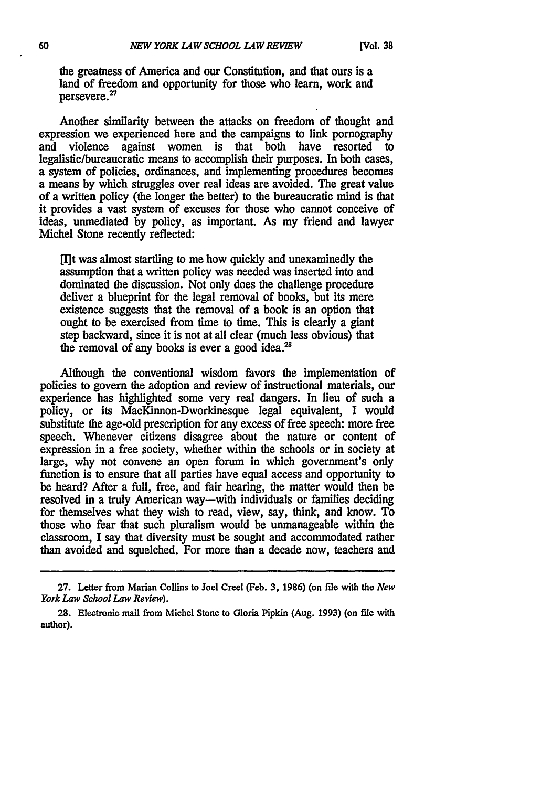the greatness of America and our Constitution, and that ours is a land of freedom and opportunity for those who learn, work and persevere.<sup>27</sup>

Another similarity between the attacks on freedom of thought and expression we experienced here and the campaigns to link pornography and violence against women is that both have resorted to legalistic/bureaucratic means to accomplish their purposes. In both cases, a system of policies, ordinances, and implementing procedures becomes a means by which struggles over real ideas are avoided. The great value of a written policy (the longer the better) to the bureaucratic mind is that it provides a vast system of excuses for those who cannot conceive of ideas, unmediated by policy, as important. As my friend and lawyer Michel Stone recently reflected:

[I]t was almost startling to me how quickly and unexaminedly the assumption that a written policy was needed was inserted into and dominated the discussion. Not only does the challenge procedure deliver a blueprint for the legal removal of books, but its mere existence suggests that the removal of a book is an option that ought to be exercised from time to time. This is clearly a giant step backward, since it is not at all clear (much less obvious) that the removal of any books is ever a good idea.<sup>28</sup>

Although the conventional wisdom favors the implementation of policies to govern the adoption and review of instructional materials, our experience has highlighted some very real dangers. In lieu of such a policy, or its MacKinnon-Dworkinesque legal equivalent, I would substitute the age-old prescription for any excess of free speech: more free speech. Whenever citizens disagree about the nature or content of expression in a free society, whether within the schools or in society at large, why not convene an open forum in which government's only function is to ensure that all parties have equal access and opportunity to be heard? After a full, free, and fair hearing, the matter would then be resolved in a truly American way-with individuals or families deciding for themselves what they wish to read, view, say, think, and know. To those who fear that such pluralism would be unmanageable within the classroom, I say that diversity must be sought and accommodated rather than avoided and squelched. For more than a decade now, teachers and

**<sup>27.</sup>** Letter from Marian Collins to Joel Creel (Feb. **3,** 1986) (on **file** with the *New York Law School Law Review).*

<sup>28.</sup> Electronic mail from Michel Stone to Gloria Pipkin (Aug. **1993)** (on file with author).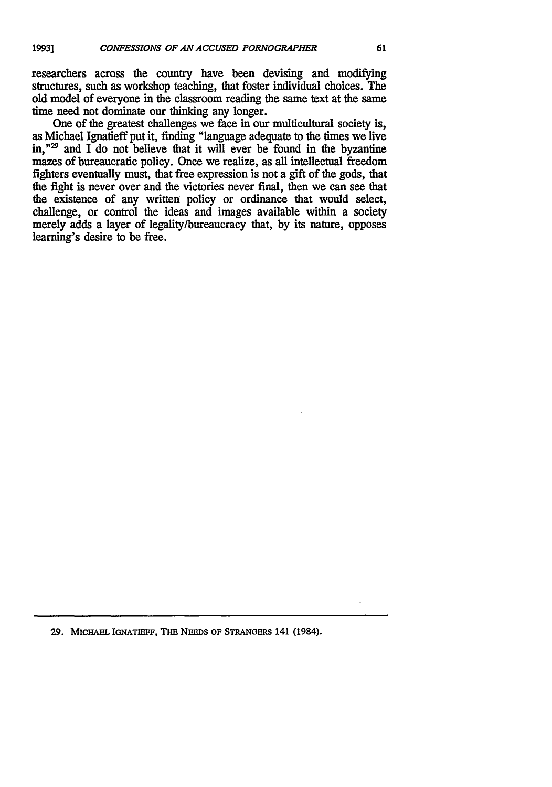researchers across the country have been devising and modifying structures, such as workshop teaching, that foster individual choices. The old model of everyone in the classroom reading the same text at the same time need not dominate our thinking any longer.

One of the greatest challenges we face in our multicultural society is, as Michael Ignatieff put it, finding "language adequate to the times we live in,<sup>"29</sup> and I do not believe that it will ever be found in the byzantine mazes of bureaucratic policy. Once we realize, as all intellectual freedom fighters eventually must, that free expression is not a gift of the gods, that the fight is never over and the victories never final, then we can see that the existence of any written policy or ordinance that would select, challenge, or control the ideas and images available within a society merely adds a layer of legality/bureaucracy that, **by** its nature, opposes learning's desire to be free.

**29. MICHAEL IGNATIEF, THE NEEDS OF STRANGERS 141 (1984).**